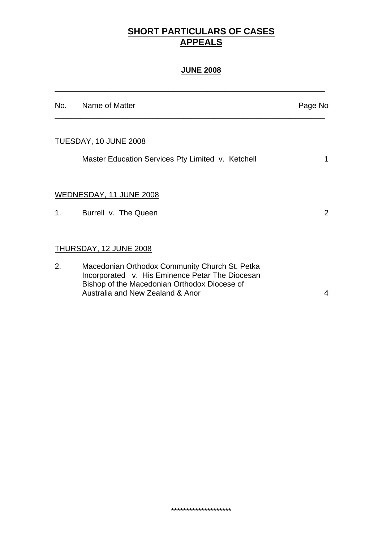# **SHORT PARTICULARS OF CASES APPEALS**

## **JUNE 2008**

\_\_\_\_\_\_\_\_\_\_\_\_\_\_\_\_\_\_\_\_\_\_\_\_\_\_\_\_\_\_\_\_\_\_\_\_\_\_\_\_\_\_\_\_\_\_\_\_\_\_\_\_\_\_\_\_\_\_\_\_\_\_\_

|    | No. Name of Matter                                                                                                                                                                    | Page No               |
|----|---------------------------------------------------------------------------------------------------------------------------------------------------------------------------------------|-----------------------|
|    | TUESDAY, 10 JUNE 2008                                                                                                                                                                 |                       |
|    | Master Education Services Pty Limited v. Ketchell                                                                                                                                     | 1                     |
|    | WEDNESDAY, 11 JUNE 2008                                                                                                                                                               |                       |
|    | 1. Burrell v. The Queen                                                                                                                                                               | $\mathbf{2}^{\prime}$ |
|    | THURSDAY, 12 JUNE 2008                                                                                                                                                                |                       |
| 2. | Macedonian Orthodox Community Church St. Petka<br>Incorporated v. His Eminence Petar The Diocesan<br>Bishop of the Macedonian Orthodox Diocese of<br>Australia and New Zealand & Anor | 4                     |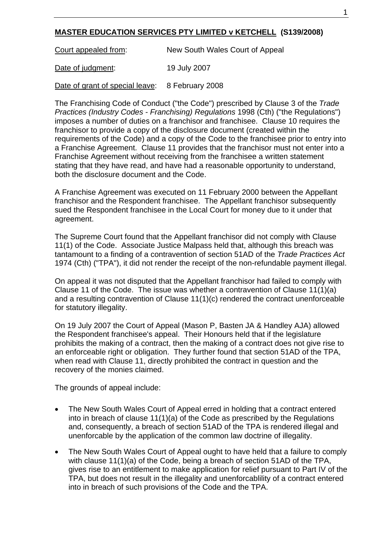### **MASTER EDUCATION SERVICES PTY LIMITED v KETCHELL (S139/2008)**

Court appealed from: New South Wales Court of Appeal

Date of judgment: 19 July 2007

Date of grant of special leave: 8 February 2008

The Franchising Code of Conduct ("the Code") prescribed by Clause 3 of the *Trade Practices (Industry Codes - Franchising) Regulations* 1998 (Cth) ("the Regulations") imposes a number of duties on a franchisor and franchisee. Clause 10 requires the franchisor to provide a copy of the disclosure document (created within the requirements of the Code) and a copy of the Code to the franchisee prior to entry into a Franchise Agreement. Clause 11 provides that the franchisor must not enter into a Franchise Agreement without receiving from the franchisee a written statement stating that they have read, and have had a reasonable opportunity to understand, both the disclosure document and the Code.

A Franchise Agreement was executed on 11 February 2000 between the Appellant franchisor and the Respondent franchisee. The Appellant franchisor subsequently sued the Respondent franchisee in the Local Court for money due to it under that agreement.

The Supreme Court found that the Appellant franchisor did not comply with Clause 11(1) of the Code. Associate Justice Malpass held that, although this breach was tantamount to a finding of a contravention of section 51AD of the *Trade Practices Act* 1974 (Cth) ("TPA"), it did not render the receipt of the non-refundable payment illegal.

On appeal it was not disputed that the Appellant franchisor had failed to comply with Clause 11 of the Code. The issue was whether a contravention of Clause 11(1)(a) and a resulting contravention of Clause 11(1)(c) rendered the contract unenforceable for statutory illegality.

On 19 July 2007 the Court of Appeal (Mason P, Basten JA & Handley AJA) allowed the Respondent franchisee's appeal. Their Honours held that if the legislature prohibits the making of a contract, then the making of a contract does not give rise to an enforceable right or obligation. They further found that section 51AD of the TPA, when read with Clause 11, directly prohibited the contract in question and the recovery of the monies claimed.

The grounds of appeal include:

- The New South Wales Court of Appeal erred in holding that a contract entered into in breach of clause 11(1)(a) of the Code as prescribed by the Regulations and, consequently, a breach of section 51AD of the TPA is rendered illegal and unenforcable by the application of the common law doctrine of illegality.
- The New South Wales Court of Appeal ought to have held that a failure to comply with clause 11(1)(a) of the Code, being a breach of section 51AD of the TPA, gives rise to an entitlement to make application for relief pursuant to Part IV of the TPA, but does not result in the illegality and unenforcablility of a contract entered into in breach of such provisions of the Code and the TPA.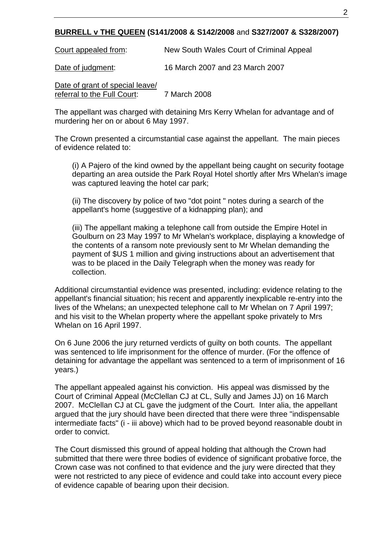#### **BURRELL v THE QUEEN (S141/2008 & S142/2008** and **S327/2007 & S328/2007)**

Court appealed from: New South Wales Court of Criminal Appeal

Date of judgment: 16 March 2007 and 23 March 2007

Date of grant of special leave/ referral to the Full Court: 7 March 2008

The appellant was charged with detaining Mrs Kerry Whelan for advantage and of murdering her on or about 6 May 1997.

The Crown presented a circumstantial case against the appellant. The main pieces of evidence related to:

(i) A Pajero of the kind owned by the appellant being caught on security footage departing an area outside the Park Royal Hotel shortly after Mrs Whelan's image was captured leaving the hotel car park;

(ii) The discovery by police of two "dot point " notes during a search of the appellant's home (suggestive of a kidnapping plan); and

(iii) The appellant making a telephone call from outside the Empire Hotel in Goulburn on 23 May 1997 to Mr Whelan's workplace, displaying a knowledge of the contents of a ransom note previously sent to Mr Whelan demanding the payment of \$US 1 million and giving instructions about an advertisement that was to be placed in the Daily Telegraph when the money was ready for collection.

Additional circumstantial evidence was presented, including: evidence relating to the appellant's financial situation; his recent and apparently inexplicable re-entry into the lives of the Whelans; an unexpected telephone call to Mr Whelan on 7 April 1997; and his visit to the Whelan property where the appellant spoke privately to Mrs Whelan on 16 April 1997.

On 6 June 2006 the jury returned verdicts of guilty on both counts. The appellant was sentenced to life imprisonment for the offence of murder. (For the offence of detaining for advantage the appellant was sentenced to a term of imprisonment of 16 years.)

The appellant appealed against his conviction. His appeal was dismissed by the Court of Criminal Appeal (McClellan CJ at CL, Sully and James JJ) on 16 March 2007. McClellan CJ at CL gave the judgment of the Court. Inter alia, the appellant argued that the jury should have been directed that there were three "indispensable intermediate facts" (i - iii above) which had to be proved beyond reasonable doubt in order to convict.

The Court dismissed this ground of appeal holding that although the Crown had submitted that there were three bodies of evidence of significant probative force, the Crown case was not confined to that evidence and the jury were directed that they were not restricted to any piece of evidence and could take into account every piece of evidence capable of bearing upon their decision.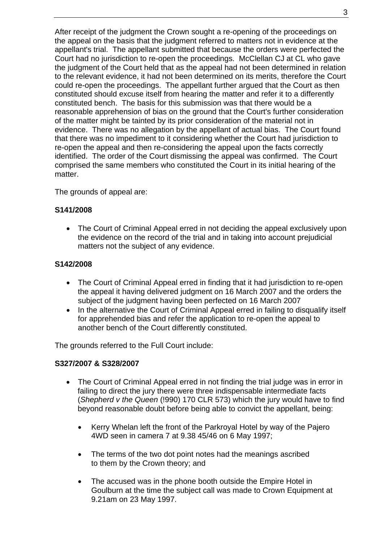After receipt of the judgment the Crown sought a re-opening of the proceedings on the appeal on the basis that the judgment referred to matters not in evidence at the appellant's trial. The appellant submitted that because the orders were perfected the Court had no jurisdiction to re-open the proceedings. McClellan CJ at CL who gave the judgment of the Court held that as the appeal had not been determined in relation to the relevant evidence, it had not been determined on its merits, therefore the Court could re-open the proceedings. The appellant further argued that the Court as then constituted should excuse itself from hearing the matter and refer it to a differently constituted bench. The basis for this submission was that there would be a reasonable apprehension of bias on the ground that the Court's further consideration of the matter might be tainted by its prior consideration of the material not in evidence. There was no allegation by the appellant of actual bias. The Court found that there was no impediment to it considering whether the Court had jurisdiction to re-open the appeal and then re-considering the appeal upon the facts correctly identified. The order of the Court dismissing the appeal was confirmed. The Court comprised the same members who constituted the Court in its initial hearing of the matter.

The grounds of appeal are:

#### **S141/2008**

• The Court of Criminal Appeal erred in not deciding the appeal exclusively upon the evidence on the record of the trial and in taking into account prejudicial matters not the subject of any evidence.

#### **S142/2008**

- The Court of Criminal Appeal erred in finding that it had jurisdiction to re-open the appeal it having delivered judgment on 16 March 2007 and the orders the subject of the judgment having been perfected on 16 March 2007
- In the alternative the Court of Criminal Appeal erred in failing to disqualify itself for apprehended bias and refer the application to re-open the appeal to another bench of the Court differently constituted.

The grounds referred to the Full Court include:

#### **S327/2007 & S328/2007**

- The Court of Criminal Appeal erred in not finding the trial judge was in error in failing to direct the jury there were three indispensable intermediate facts (*Shepherd v the Queen* (!990) 170 CLR 573) which the jury would have to find beyond reasonable doubt before being able to convict the appellant, being:
	- Kerry Whelan left the front of the Parkroyal Hotel by way of the Pajero 4WD seen in camera 7 at 9.38 45/46 on 6 May 1997;
	- The terms of the two dot point notes had the meanings ascribed to them by the Crown theory; and
	- The accused was in the phone booth outside the Empire Hotel in Goulburn at the time the subject call was made to Crown Equipment at 9.21am on 23 May 1997.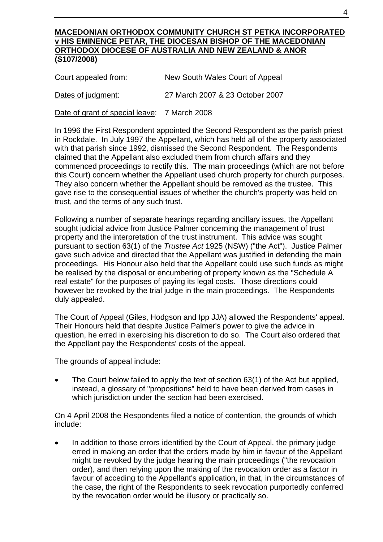#### **MACEDONIAN ORTHODOX COMMUNITY CHURCH ST PETKA INCORPORATED v HIS EMINENCE PETAR, THE DIOCESAN BISHOP OF THE MACEDONIAN ORTHODOX DIOCESE OF AUSTRALIA AND NEW ZEALAND & ANOR (S107/2008)**

| Court appealed from: | New South Wales Court of Appeal |
|----------------------|---------------------------------|
| Dates of judgment:   | 27 March 2007 & 23 October 2007 |

Date of grant of special leave: 7 March 2008

In 1996 the First Respondent appointed the Second Respondent as the parish priest in Rockdale. In July 1997 the Appellant, which has held all of the property associated with that parish since 1992, dismissed the Second Respondent. The Respondents claimed that the Appellant also excluded them from church affairs and they commenced proceedings to rectify this. The main proceedings (which are not before this Court) concern whether the Appellant used church property for church purposes. They also concern whether the Appellant should be removed as the trustee. This gave rise to the consequential issues of whether the church's property was held on trust, and the terms of any such trust.

Following a number of separate hearings regarding ancillary issues, the Appellant sought judicial advice from Justice Palmer concerning the management of trust property and the interpretation of the trust instrument. This advice was sought pursuant to section 63(1) of the *Trustee Act* 1925 (NSW) ("the Act"). Justice Palmer gave such advice and directed that the Appellant was justified in defending the main proceedings. His Honour also held that the Appellant could use such funds as might be realised by the disposal or encumbering of property known as the "Schedule A real estate" for the purposes of paying its legal costs. Those directions could however be revoked by the trial judge in the main proceedings. The Respondents duly appealed.

The Court of Appeal (Giles, Hodgson and Ipp JJA) allowed the Respondents' appeal. Their Honours held that despite Justice Palmer's power to give the advice in question, he erred in exercising his discretion to do so. The Court also ordered that the Appellant pay the Respondents' costs of the appeal.

The grounds of appeal include:

The Court below failed to apply the text of section 63(1) of the Act but applied, instead, a glossary of "propositions" held to have been derived from cases in which jurisdiction under the section had been exercised.

On 4 April 2008 the Respondents filed a notice of contention, the grounds of which include:

In addition to those errors identified by the Court of Appeal, the primary judge erred in making an order that the orders made by him in favour of the Appellant might be revoked by the judge hearing the main proceedings ("the revocation order), and then relying upon the making of the revocation order as a factor in favour of acceding to the Appellant's application, in that, in the circumstances of the case, the right of the Respondents to seek revocation purportedly conferred by the revocation order would be illusory or practically so.